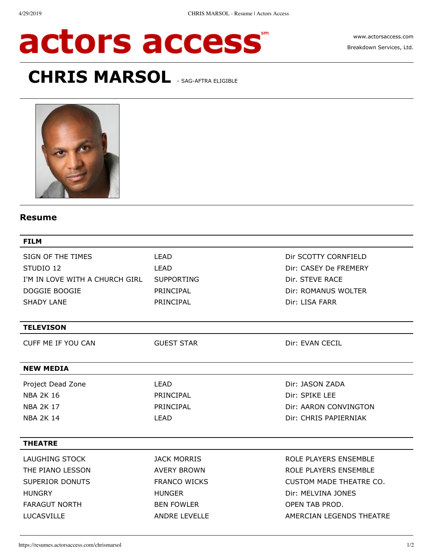# actors access

[www.actorsaccess.com](https://www.actorsaccess.com/) Breakdown Services, Ltd.

# **CHRIS MARSOL SAG-AFTRA ELIGIBLE**



## **Resume**

| <b>FILM</b>                               |                      |                          |
|-------------------------------------------|----------------------|--------------------------|
| SIGN OF THE TIMES                         | <b>LEAD</b>          | Dir SCOTTY CORNFIELD     |
| STUDIO 12                                 | <b>LEAD</b>          | Dir: CASEY De FREMERY    |
| I'M IN LOVE WITH A CHURCH GIRL SUPPORTING |                      | Dir. STEVE RACE          |
| DOGGIE BOOGIE                             | PRINCIPAL            | Dir: ROMANUS WOLTER      |
| <b>SHADY LANE</b>                         | PRINCIPAL            | Dir: LISA FARR           |
| <b>TELEVISON</b>                          |                      |                          |
| CUFF ME IF YOU CAN                        | <b>GUEST STAR</b>    | Dir: EVAN CECIL          |
| <b>NEW MEDIA</b>                          |                      |                          |
| Project Dead Zone                         | LEAD                 | Dir: JASON ZADA          |
| <b>NBA 2K 16</b>                          | PRINCIPAL            | Dir: SPIKE LEE           |
| <b>NBA 2K 17</b>                          | PRINCIPAL            | Dir: AARON CONVINGTON    |
| <b>NBA 2K 14</b>                          | <b>LEAD</b>          | Dir: CHRIS PAPIERNIAK    |
| <b>THEATRE</b>                            |                      |                          |
| <b>LAUGHING STOCK</b>                     | <b>JACK MORRIS</b>   | ROLE PLAYERS ENSEMBLE    |
| THE PIANO LESSON                          | <b>AVERY BROWN</b>   | ROLE PLAYERS ENSEMBLE    |
| SUPERIOR DONUTS                           | <b>FRANCO WICKS</b>  | CUSTOM MADE THEATRE CO.  |
| <b>HUNGRY</b>                             | <b>HUNGER</b>        | Dir: MELVINA JONES       |
| <b>FARAGUT NORTH</b>                      | <b>BEN FOWLER</b>    | OPEN TAB PROD.           |
| LUCASVILLE                                | <b>ANDRE LEVELLE</b> | AMERCIAN LEGENDS THEATRE |